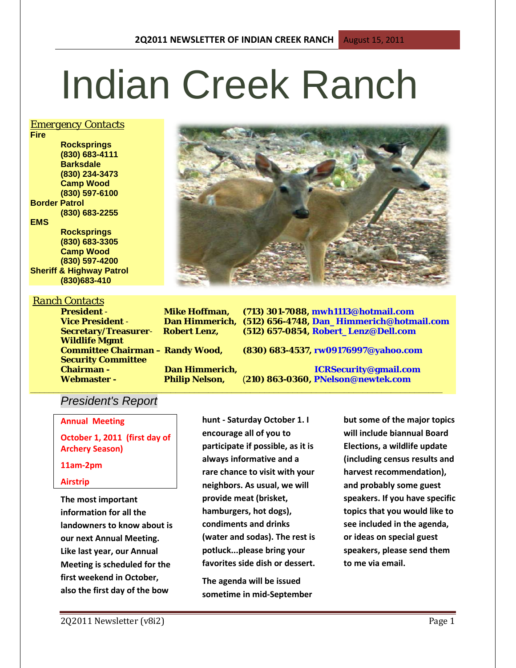# Indian Creek Ranch

## *Emergency Contacts*

**Fire Rocksprings (830) 683-4111 Barksdale (830) 234-3473 Camp Wood (830) 597-6100 Border Patrol (830) 683-2255 EMS Rocksprings (830) 683-3305 Camp Wood (830) 597-4200**

**Sheriff & Highway Patrol (830)683-410**

## *Ranch Contacts*

**Wildlife Mgmt Security Committee** 

**President** - **Mike Hoffman, (713) 301-7088, mwh1113@hotmail.com Vice President** - **Dan Himmerich, (512) 656-4748, Dan\_Himmerich@hotmail.com Secretary/Treasurer**- **Robert Lenz, (512) 657-0854, Robert\_Lenz@Dell.com**

**Committee Chairman – Randy Wood, (830) 683-4537, rw09176997@yahoo.com**

**\_\_\_\_\_\_\_\_\_\_\_\_\_\_\_\_\_\_\_\_\_\_\_\_\_\_\_\_\_\_\_\_\_\_\_\_\_\_\_\_\_\_\_\_\_\_\_\_\_\_\_\_\_\_\_\_\_\_\_\_\_\_\_\_\_\_\_\_\_\_\_\_\_\_\_\_\_\_\_\_\_\_\_\_\_\_\_\_**

**Chairman - Dan Himmerich, ICRSecurity@gmail.com Webmaster - Philip Nelson,** (**210) 863-0360, PNelson@newtek.com**

# *President's Report*

**Annual Meeting**

**October 1, 2011 (first day of Archery Season)**

## **11am-2pm**

## **Airstrip**

**The most important information for all the landowners to know about is our next Annual Meeting. Like last year, our Annual Meeting is scheduled for the first weekend in October, also the first day of the bow**

**hunt - Saturday October 1. I encourage all of you to participate if possible, as it is always informative and a rare chance to visit with your neighbors. As usual, we will provide meat (brisket, hamburgers, hot dogs), condiments and drinks (water and sodas). The rest is potluck...please bring your favorites side dish or dessert.** 

**The agenda will be issued sometime in mid-September** 

**but some of the major topics will include biannual Board Elections, a wildlife update (including census results and harvest recommendation), and probably some guest speakers. If you have specific topics that you would like to see included in the agenda, or ideas on special guest speakers, please send them to me via email.**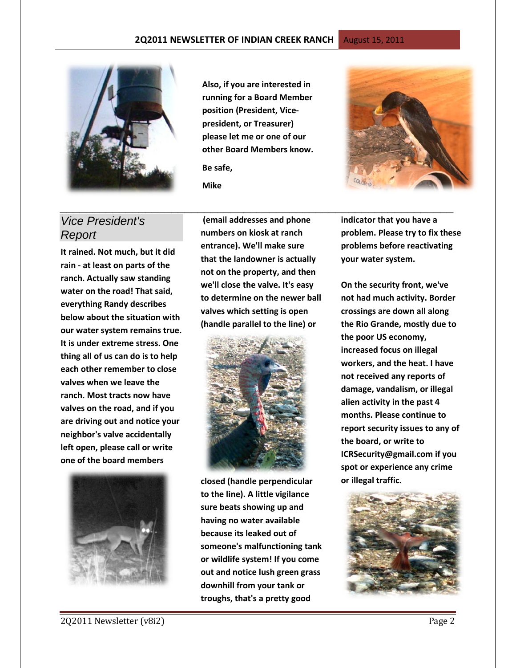

# *Vice President's Report*

**It rained. Not much, but it did rain - at least on parts of the ranch. Actually saw standing water on the road! That said, everything Randy describes below about the situation with our water system remains true. It is under extreme stress. One thing all of us can do is to help each other remember to close valves when we leave the ranch. Most tracts now have valves on the road, and if you are driving out and notice your neighbor's valve accidentally left open, please call or write one of the board members**



**Also, if you are interested in running for a Board Member position (President, Vicepresident, or Treasurer) please let me or one of our other Board Members know.**

**Be safe, Mike**

**(email addresses and phone numbers on kiosk at ranch entrance). We'll make sure that the landowner is actually not on the property, and then we'll close the valve. It's easy to determine on the newer ball valves which setting is open (handle parallel to the line) or** 

*\_\_\_\_\_\_\_\_\_\_\_\_\_\_\_\_\_\_\_\_\_\_\_\_\_\_\_\_\_\_\_\_\_\_\_\_\_\_\_\_\_\_\_\_\_\_\_\_\_\_\_\_\_\_\_\_\_\_\_\_*



**closed (handle perpendicular to the line). A little vigilance sure beats showing up and having no water available because its leaked out of someone's malfunctioning tank or wildlife system! If you come out and notice lush green grass downhill from your tank or troughs, that's a pretty good** 

**indicator that you have a problem. Please try to fix these problems before reactivating your water system.**

**On the security front, we've not had much activity. Border crossings are down all along the Rio Grande, mostly due to the poor US economy, increased focus on illegal workers, and the heat. I have not received any reports of damage, vandalism, or illegal alien activity in the past 4 months. Please continue to report security issues to any of the board, or write to [ICRSecurity@gmail.com](mailto:ICRSecurity@gmail.com) if you spot or experience any crime or illegal traffic.** 

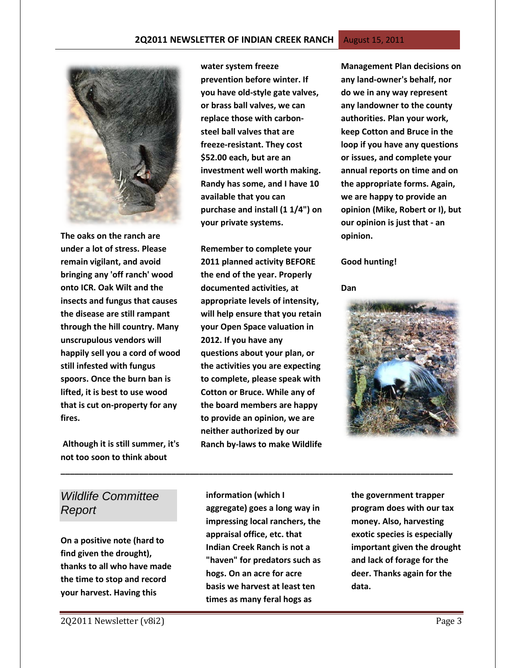

**The oaks on the ranch are under a lot of stress. Please remain vigilant, and avoid bringing any 'off ranch' wood onto ICR. Oak Wilt and the insects and fungus that causes the disease are still rampant through the hill country. Many unscrupulous vendors will happily sell you a cord of wood still infested with fungus spoors. Once the burn ban is lifted, it is best to use wood that is cut on-property for any fires.**

**Although it is still summer, it's not too soon to think about** 

**water system freeze prevention before winter. If you have old-style gate valves, or brass ball valves, we can replace those with carbonsteel ball valves that are freeze-resistant. They cost \$52.00 each, but are an investment well worth making. Randy has some, and I have 10 available that you can purchase and install (1 1/4") on your private systems.**

**Remember to complete your 2011 planned activity BEFORE the end of the year. Properly documented activities, at appropriate levels of intensity, will help ensure that you retain your Open Space valuation in 2012. If you have any questions about your plan, or the activities you are expecting to complete, please speak with Cotton or Bruce. While any of the board members are happy to provide an opinion, we are neither authorized by our Ranch by-laws to make Wildlife** 

**Management Plan decisions on any land-owner's behalf, nor do we in any way represent any landowner to the county authorities. Plan your work, keep Cotton and Bruce in the loop if you have any questions or issues, and complete your annual reports on time and on the appropriate forms. Again, we are happy to provide an opinion (Mike, Robert or I), but our opinion is just that - an opinion.**

#### **Good hunting!**

**Dan**



# *Wildlife Committee Report*

**On a positive note (hard to find given the drought), thanks to all who have made the time to stop and record your harvest. Having this** 

**information (which I aggregate) goes a long way in impressing local ranchers, the appraisal office, etc. that Indian Creek Ranch is not a "haven" for predators such as hogs. On an acre for acre basis we harvest at least ten times as many feral hogs as** 

**\_\_\_\_\_\_\_\_\_\_\_\_\_\_\_\_\_\_\_\_\_\_\_\_\_\_\_\_\_\_\_\_\_\_\_\_\_\_\_\_\_\_\_\_\_\_\_\_\_\_\_\_\_\_\_\_\_\_\_\_\_\_\_\_\_\_\_\_\_\_\_\_\_\_\_\_\_\_\_\_\_\_\_\_\_**

**the government trapper program does with our tax money. Also, harvesting exotic species is especially important given the drought and lack of forage for the deer. Thanks again for the data.**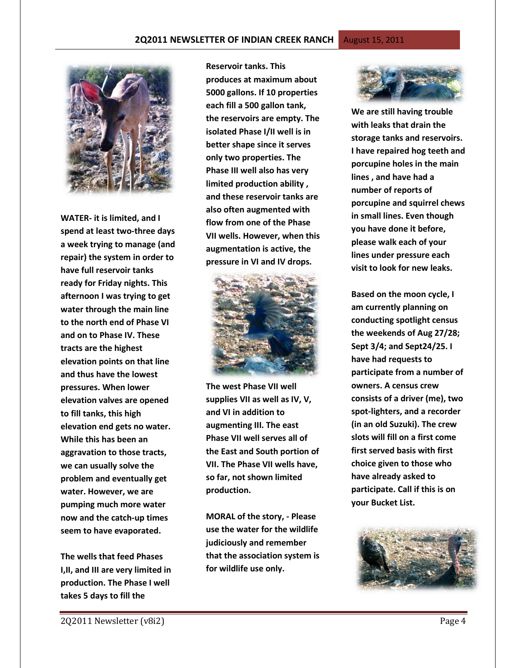

**WATER- it is limited, and I spend at least two-three days a week trying to manage (and repair) the system in order to have full reservoir tanks ready for Friday nights. This afternoon I was trying to get water through the main line to the north end of Phase VI and on to Phase IV. These tracts are the highest elevation points on that line and thus have the lowest pressures. When lower elevation valves are opened to fill tanks, this high elevation end gets no water. While this has been an aggravation to those tracts, we can usually solve the problem and eventually get water. However, we are pumping much more water now and the catch-up times seem to have evaporated.**

**The wells that feed Phases I,II, and III are very limited in production. The Phase I well takes 5 days to fill the** 

**Reservoir tanks. This produces at maximum about 5000 gallons. If 10 properties each fill a 500 gallon tank, the reservoirs are empty. The isolated Phase I/II well is in better shape since it serves only two properties. The Phase III well also has very limited production ability , and these reservoir tanks are also often augmented with flow from one of the Phase VII wells. However, when this augmentation is active, the pressure in VI and IV drops.** 



**The west Phase VII well supplies VII as well as IV, V, and VI in addition to augmenting III. The east Phase VII well serves all of the East and South portion of VII. The Phase VII wells have, so far, not shown limited production.**

**MORAL of the story, - Please use the water for the wildlife judiciously and remember that the association system is for wildlife use only.** 



**We are still having trouble with leaks that drain the storage tanks and reservoirs. I have repaired hog teeth and porcupine holes in the main lines , and have had a number of reports of porcupine and squirrel chews in small lines. Even though you have done it before, please walk each of your lines under pressure each visit to look for new leaks.** 

**Based on the moon cycle, I am currently planning on conducting spotlight census the weekends of Aug 27/28; Sept 3/4; and Sept24/25. I have had requests to participate from a number of owners. A census crew consists of a driver (me), two spot-lighters, and a recorder (in an old Suzuki). The crew slots will fill on a first come first served basis with first choice given to those who have already asked to participate. Call if this is on your Bucket List.** 

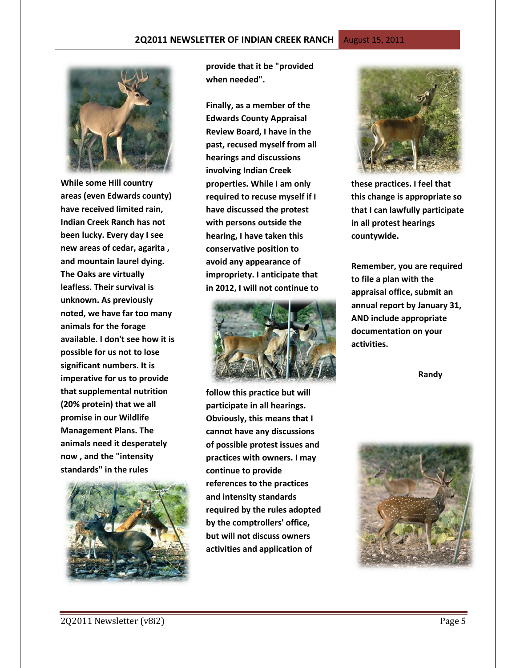**While some Hill country areas (even Edwards county) have received limited rain, Indian Creek Ranch has not been lucky. Every day I see new areas of cedar, agarita , and mountain laurel dying. The Oaks are virtually leafless. Their survival is unknown. As previously noted, we have far too many animals for the forage available. I don't see how it is possible for us not to lose significant numbers. It is imperative for us to provide that supplemental nutrition (20% protein) that we all promise in our Wildlife Management Plans. The animals need it desperately now , and the "intensity standards" in the rules** 



**provide that it be "provided when needed".** 

**Finally, as a member of the Edwards County Appraisal Review Board, I have in the past, recused myself from all hearings and discussions involving Indian Creek properties. While I am only required to recuse myself if I have discussed the protest with persons outside the hearing, I have taken this conservative position to avoid any appearance of impropriety. I anticipate that in 2012, I will not continue to**



**follow this practice but will participate in all hearings. Obviously, this means that I cannot have any discussions of possible protest issues and practices with owners. I may continue to provide references to the practices and intensity standards required by the rules adopted by the comptrollers' office, but will not discuss owners activities and application of** 



**these practices. I feel that this change is appropriate so that I can lawfully participate in all protest hearings countywide.** 

**Remember, you are required to file a plan with the appraisal office, submit an annual report by January 31, AND include appropriate documentation on your activities.**

 **Randy**

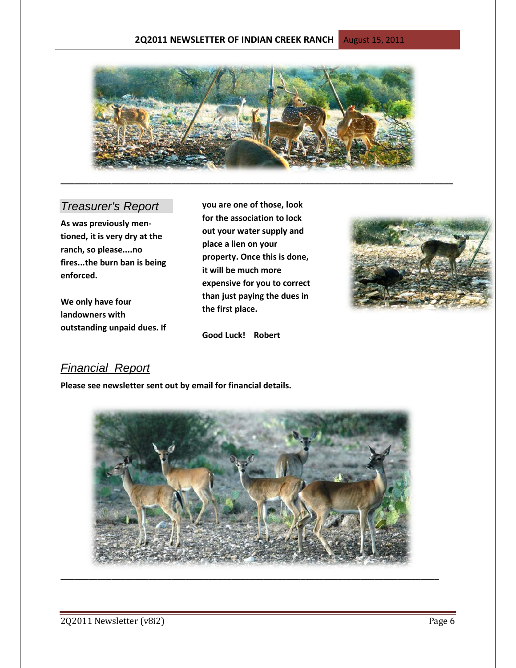## **2Q2011 NEWSLETTER OF INDIAN CREEK RANCH** August 15, 2011



# *Treasurer's Report*

**As was previously mentioned, it is very dry at the ranch, so please....no fires...the burn ban is being enforced.** 

**We only have four landowners with outstanding unpaid dues. If**  **you are one of those, look for the association to lock out your water supply and place a lien on your property. Once this is done, it will be much more expensive for you to correct than just paying the dues in the first place.**



## **Good Luck! Robert**

# *Financial Report*

**Please see newsletter sent out by email for financial details.**